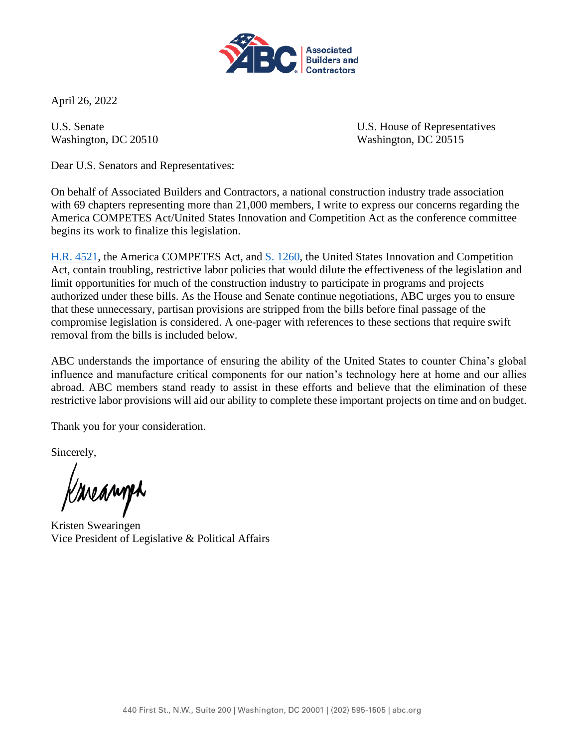

April 26, 2022

U.S. Senate U.S. House of Representatives Washington, DC 20510 Washington, DC 20515

Dear U.S. Senators and Representatives:

On behalf of Associated Builders and Contractors, a national construction industry trade association with 69 chapters representing more than 21,000 members, I write to express our concerns regarding the America COMPETES Act/United States Innovation and Competition Act as the conference committee begins its work to finalize this legislation.

[H.R. 4521,](https://rules.house.gov/bill/117/hr-4521) the America COMPETES Act, and [S. 1260,](https://www.congress.gov/bill/117th-congress/senate-bill/1260) the United States Innovation and Competition Act, contain troubling, restrictive labor policies that would dilute the effectiveness of the legislation and limit opportunities for much of the construction industry to participate in programs and projects authorized under these bills. As the House and Senate continue negotiations, ABC urges you to ensure that these unnecessary, partisan provisions are stripped from the bills before final passage of the compromise legislation is considered. A one-pager with references to these sections that require swift removal from the bills is included below.

ABC understands the importance of ensuring the ability of the United States to counter China's global influence and manufacture critical components for our nation's technology here at home and our allies abroad. ABC members stand ready to assist in these efforts and believe that the elimination of these restrictive labor provisions will aid our ability to complete these important projects on time and on budget.

Thank you for your consideration.

Sincerely,

Krieamph

Kristen Swearingen Vice President of Legislative & Political Affairs